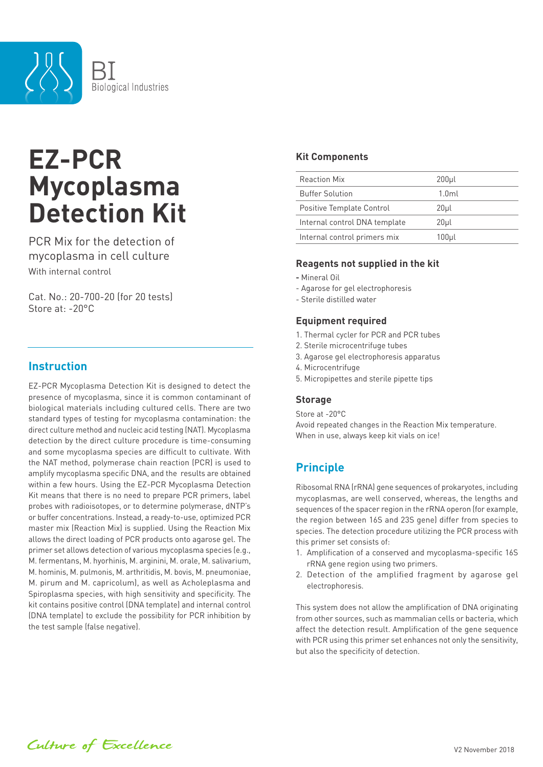

# **EZ-PCR Mycoplasma Detection Kit**

PCR Mix for the detection of mycoplasma in cell culture With internal control

Cat. No.: 20-700-20 (for 20 tests) Store at: -20°C

## **Instruction**

EZ-PCR Mycoplasma Detection Kit is designed to detect the presence of mycoplasma, since it is common contaminant of biological materials including cultured cells. There are two standard types of testing for mycoplasma contamination: the direct culture method and nucleic acid testing (NAT). Mycoplasma detection by the direct culture procedure is time-consuming and some mycoplasma species are difficult to cultivate. With the NAT method, polymerase chain reaction (PCR) is used to amplify mycoplasma specific DNA, and the results are obtained within a few hours. Using the EZ-PCR Mycoplasma Detection Kit means that there is no need to prepare PCR primers, label probes with radioisotopes, or to determine polymerase, dNTP's or buffer concentrations. Instead, a ready-to-use, optimized PCR master mix (Reaction Mix) is supplied. Using the Reaction Mix allows the direct loading of PCR products onto agarose gel. The primer set allows detection of various mycoplasma species (e.g., M. fermentans, M. hyorhinis, M. arginini, M. orale, M. salivarium, M. hominis, M. pulmonis, M. arthritidis, M. bovis, M. pneumoniae, M. pirum and M. capricolum), as well as Acholeplasma and Spiroplasma species, with high sensitivity and specificity. The kit contains positive control (DNA template) and internal control (DNA template) to exclude the possibility for PCR inhibition by the test sample (false negative).

## **Kit Components**

| <b>Reaction Mix</b>           | 200 <sub>µ</sub> |
|-------------------------------|------------------|
| <b>Buffer Solution</b>        | 1.0 <sub>m</sub> |
| Positive Template Control     | 20µl             |
| Internal control DNA template | 20µl             |
| Internal control primers mix  | 100µl            |

## **Reagents not supplied in the kit**

- Mineral Oil
- Agarose for gel electrophoresis
- Sterile distilled water

#### **Equipment required**

- 1. Thermal cycler for PCR and PCR tubes
- 2. Sterile microcentrifuge tubes
- 3. Agarose gel electrophoresis apparatus
- 4. Microcentrifuge
- 5. Micropipettes and sterile pipette tips

#### **Storage**

Store at -20°C Avoid repeated changes in the Reaction Mix temperature. When in use, always keep kit vials on ice!

## **Principle**

Ribosomal RNA (rRNA) gene sequences of prokaryotes, including mycoplasmas, are well conserved, whereas, the lengths and sequences of the spacer region in the rRNA operon (for example, the region between 16S and 23S gene) differ from species to species. The detection procedure utilizing the PCR process with this primer set consists of:

- 1. Amplification of a conserved and mycoplasma-specific 16S rRNA gene region using two primers.
- 2. Detection of the amplified fragment by agarose gel electrophoresis.

This system does not allow the amplification of DNA originating from other sources, such as mammalian cells or bacteria, which affect the detection result. Amplification of the gene sequence with PCR using this primer set enhances not only the sensitivity, but also the specificity of detection.

Culture of Excellence